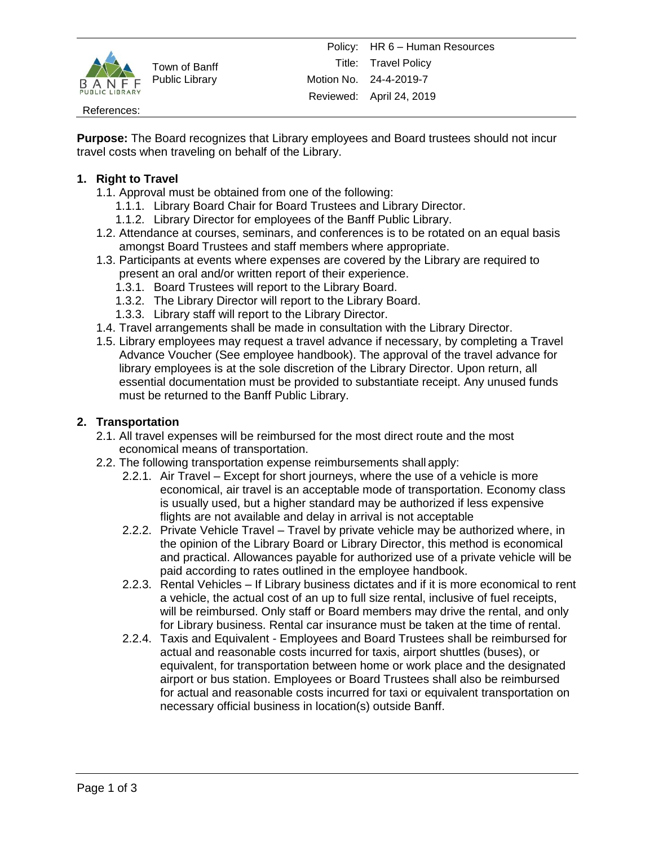

Town of Banff Public Library

#### References:

**Purpose:** The Board recognizes that Library employees and Board trustees should not incur travel costs when traveling on behalf of the Library.

## **1. Right to Travel**

- 1.1. Approval must be obtained from one of the following:
	- 1.1.1. Library Board Chair for Board Trustees and Library Director.
	- 1.1.2. Library Director for employees of the Banff Public Library.
- 1.2. Attendance at courses, seminars, and conferences is to be rotated on an equal basis amongst Board Trustees and staff members where appropriate.
- 1.3. Participants at events where expenses are covered by the Library are required to present an oral and/or written report of their experience.
	- 1.3.1. Board Trustees will report to the Library Board.
	- 1.3.2. The Library Director will report to the Library Board.
	- 1.3.3. Library staff will report to the Library Director.
- 1.4. Travel arrangements shall be made in consultation with the Library Director.
- 1.5. Library employees may request a travel advance if necessary, by completing a Travel Advance Voucher (See employee handbook). The approval of the travel advance for library employees is at the sole discretion of the Library Director. Upon return, all essential documentation must be provided to substantiate receipt. Any unused funds must be returned to the Banff Public Library.

#### **2. Transportation**

- 2.1. All travel expenses will be reimbursed for the most direct route and the most economical means of transportation.
- 2.2. The following transportation expense reimbursements shall apply:
	- 2.2.1. Air Travel Except for short journeys, where the use of a vehicle is more economical, air travel is an acceptable mode of transportation. Economy class is usually used, but a higher standard may be authorized if less expensive flights are not available and delay in arrival is not acceptable
	- 2.2.2. Private Vehicle Travel Travel by private vehicle may be authorized where, in the opinion of the Library Board or Library Director, this method is economical and practical. Allowances payable for authorized use of a private vehicle will be paid according to rates outlined in the employee handbook.
	- 2.2.3. Rental Vehicles If Library business dictates and if it is more economical to rent a vehicle, the actual cost of an up to full size rental, inclusive of fuel receipts, will be reimbursed. Only staff or Board members may drive the rental, and only for Library business. Rental car insurance must be taken at the time of rental.
	- 2.2.4. Taxis and Equivalent Employees and Board Trustees shall be reimbursed for actual and reasonable costs incurred for taxis, airport shuttles (buses), or equivalent, for transportation between home or work place and the designated airport or bus station. Employees or Board Trustees shall also be reimbursed for actual and reasonable costs incurred for taxi or equivalent transportation on necessary official business in location(s) outside Banff.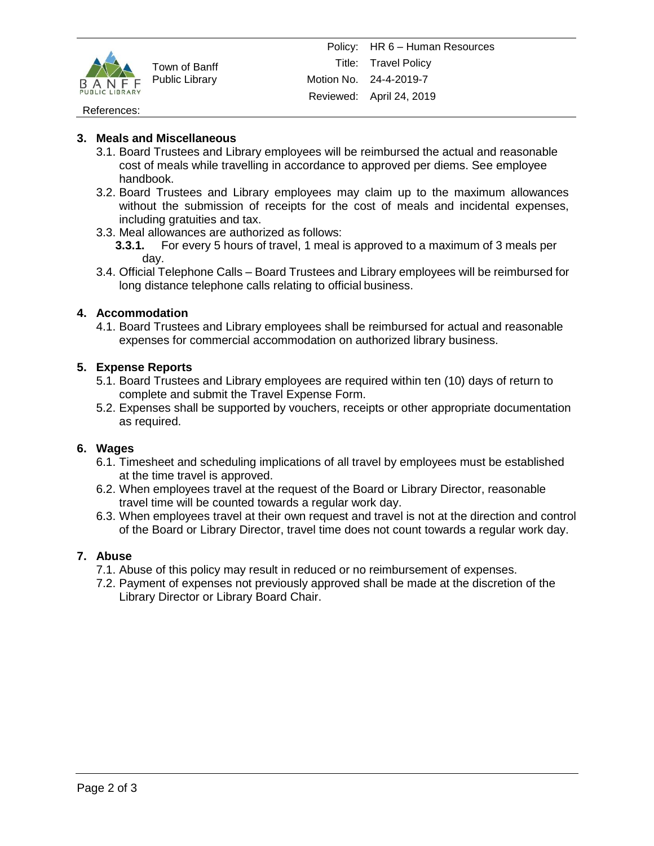

Town of Banff Public Library

#### References:

### **3. Meals and Miscellaneous**

- 3.1. Board Trustees and Library employees will be reimbursed the actual and reasonable cost of meals while travelling in accordance to approved per diems. See employee handbook.
- 3.2. Board Trustees and Library employees may claim up to the maximum allowances without the submission of receipts for the cost of meals and incidental expenses, including gratuities and tax.
- 3.3. Meal allowances are authorized as follows:
	- **3.3.1.** For every 5 hours of travel, 1 meal is approved to a maximum of 3 meals per day.
- 3.4. Official Telephone Calls Board Trustees and Library employees will be reimbursed for long distance telephone calls relating to official business.

## **4. Accommodation**

4.1. Board Trustees and Library employees shall be reimbursed for actual and reasonable expenses for commercial accommodation on authorized library business.

## **5. Expense Reports**

- 5.1. Board Trustees and Library employees are required within ten (10) days of return to complete and submit the Travel Expense Form.
- 5.2. Expenses shall be supported by vouchers, receipts or other appropriate documentation as required.

#### **6. Wages**

- 6.1. Timesheet and scheduling implications of all travel by employees must be established at the time travel is approved.
- 6.2. When employees travel at the request of the Board or Library Director, reasonable travel time will be counted towards a regular work day.
- 6.3. When employees travel at their own request and travel is not at the direction and control of the Board or Library Director, travel time does not count towards a regular work day.

#### **7. Abuse**

- 7.1. Abuse of this policy may result in reduced or no reimbursement of expenses.
- 7.2. Payment of expenses not previously approved shall be made at the discretion of the Library Director or Library Board Chair.